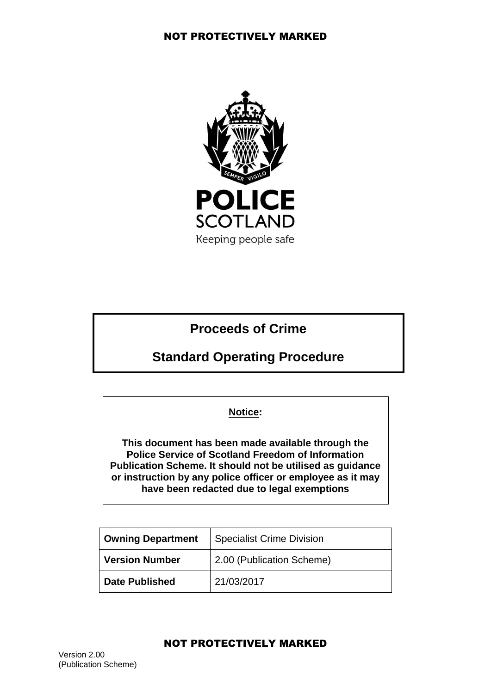

# **Proceeds of Crime**

# **Standard Operating Procedure**

## **Notice:**

**This document has been made available through the Police Service of Scotland Freedom of Information Publication Scheme. It should not be utilised as guidance or instruction by any police officer or employee as it may have been redacted due to legal exemptions**

| Owning Department     | Specialist Crime Division |
|-----------------------|---------------------------|
| <b>Version Number</b> | 2.00 (Publication Scheme) |
| <b>Date Published</b> | 21/03/2017                |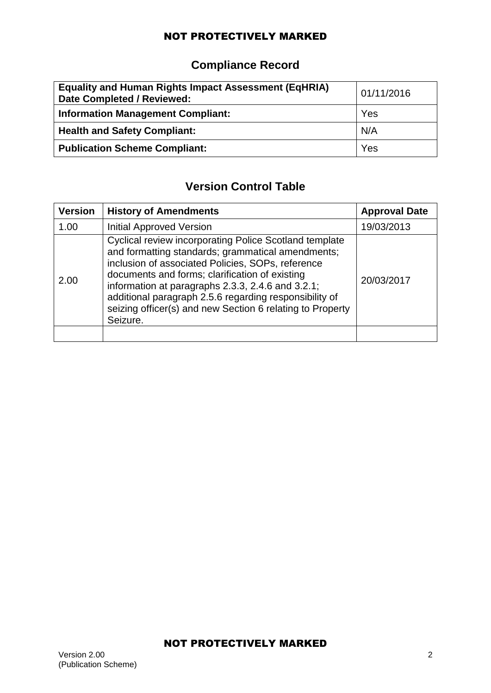# **Compliance Record**

| <b>Equality and Human Rights Impact Assessment (EqHRIA)</b><br><b>Date Completed / Reviewed:</b> | 01/11/2016 |
|--------------------------------------------------------------------------------------------------|------------|
| <b>Information Management Compliant:</b>                                                         | Yes        |
| <b>Health and Safety Compliant:</b>                                                              | N/A        |
| <b>Publication Scheme Compliant:</b>                                                             | Yes        |

## **Version Control Table**

| <b>Version</b> | <b>History of Amendments</b>                                                                                                                                                                                                                                                                                                                                                                                      | <b>Approval Date</b> |
|----------------|-------------------------------------------------------------------------------------------------------------------------------------------------------------------------------------------------------------------------------------------------------------------------------------------------------------------------------------------------------------------------------------------------------------------|----------------------|
| 1.00           | <b>Initial Approved Version</b>                                                                                                                                                                                                                                                                                                                                                                                   | 19/03/2013           |
| 2.00           | <b>Cyclical review incorporating Police Scotland template</b><br>and formatting standards; grammatical amendments;<br>inclusion of associated Policies, SOPs, reference<br>documents and forms; clarification of existing<br>information at paragraphs 2.3.3, 2.4.6 and 3.2.1;<br>additional paragraph 2.5.6 regarding responsibility of<br>seizing officer(s) and new Section 6 relating to Property<br>Seizure. | 20/03/2017           |
|                |                                                                                                                                                                                                                                                                                                                                                                                                                   |                      |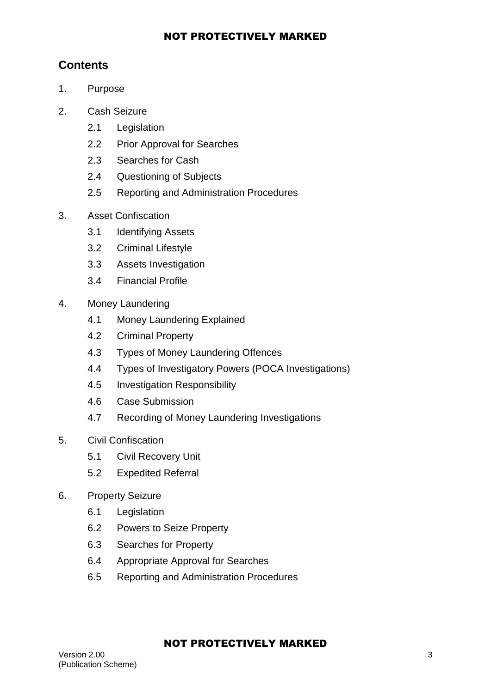## **Contents**

- 1. Purpose
- 2. Cash Seizure
	- 2.1 Legislation
	- 2.2 Prior Approval for Searches
	- 2.3 Searches for Cash
	- 2.4 Questioning of Subjects
	- 2.5 Reporting and Administration Procedures
- 3. Asset Confiscation
	- 3.1 Identifying Assets
	- 3.2 Criminal Lifestyle
	- 3.3 Assets Investigation
	- 3.4 Financial Profile
- 4. Money Laundering
	- 4.1 Money Laundering Explained
	- 4.2 Criminal Property
	- 4.3 Types of Money Laundering Offences
	- 4.4 Types of Investigatory Powers (POCA Investigations)
	- 4.5 Investigation Responsibility
	- 4.6 Case Submission
	- 4.7 Recording of Money Laundering Investigations
- 5. Civil Confiscation
	- 5.1 Civil Recovery Unit
	- 5.2 Expedited Referral
- 6. Property Seizure
	- 6.1 Legislation
	- 6.2 Powers to Seize Property
	- 6.3 Searches for Property
	- 6.4 Appropriate Approval for Searches
	- 6.5 Reporting and Administration Procedures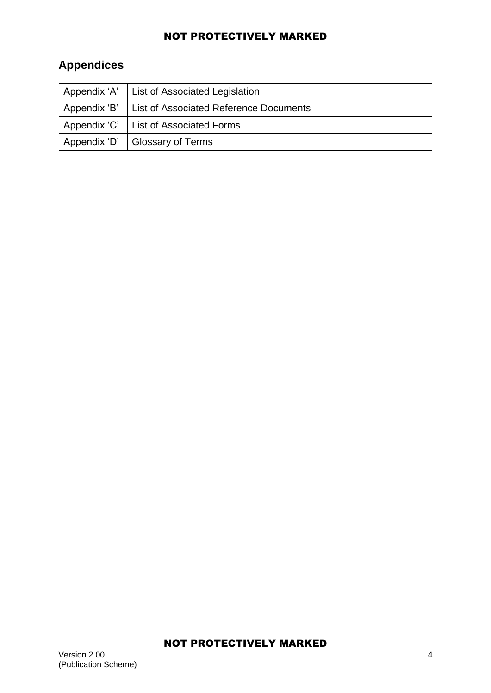# **Appendices**

|              | Appendix 'A'   List of Associated Legislation |
|--------------|-----------------------------------------------|
| Appendix 'B' | <b>List of Associated Reference Documents</b> |
|              | Appendix 'C'   List of Associated Forms       |
|              | Appendix 'D'   Glossary of Terms              |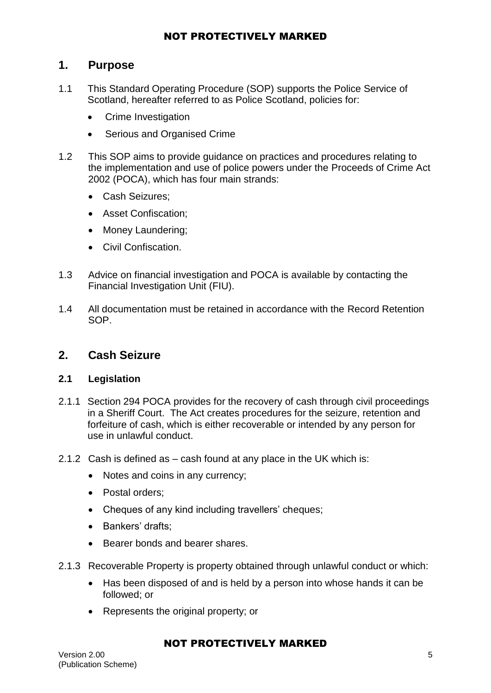## **1. Purpose**

- 1.1 This Standard Operating Procedure (SOP) supports the Police Service of Scotland, hereafter referred to as Police Scotland, policies for:
	- Crime Investigation
	- Serious and Organised Crime
- 1.2 This SOP aims to provide guidance on practices and procedures relating to the implementation and use of police powers under the Proceeds of Crime Act 2002 (POCA), which has four main strands:
	- Cash Seizures;
	- Asset Confiscation:
	- Money Laundering:
	- Civil Confiscation.
- 1.3 Advice on financial investigation and POCA is available by contacting the Financial Investigation Unit (FIU).
- 1.4 All documentation must be retained in accordance with the Record Retention SOP.

### **2. Cash Seizure**

#### **2.1 Legislation**

- 2.1.1 Section 294 POCA provides for the recovery of cash through civil proceedings in a Sheriff Court. The Act creates procedures for the seizure, retention and forfeiture of cash, which is either recoverable or intended by any person for use in unlawful conduct.
- 2.1.2 Cash is defined as cash found at any place in the UK which is:
	- Notes and coins in any currency;
	- Postal orders:
	- Cheques of any kind including travellers' cheques;
	- Bankers' drafts;
	- Bearer bonds and bearer shares.
- 2.1.3 Recoverable Property is property obtained through unlawful conduct or which:
	- Has been disposed of and is held by a person into whose hands it can be followed; or
	- Represents the original property; or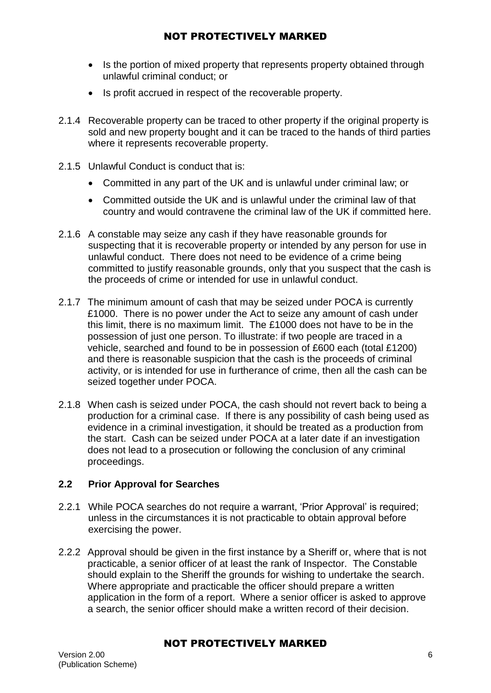- Is the portion of mixed property that represents property obtained through unlawful criminal conduct; or
- Is profit accrued in respect of the recoverable property.
- 2.1.4 Recoverable property can be traced to other property if the original property is sold and new property bought and it can be traced to the hands of third parties where it represents recoverable property.
- 2.1.5 Unlawful Conduct is conduct that is:
	- Committed in any part of the UK and is unlawful under criminal law; or
	- Committed outside the UK and is unlawful under the criminal law of that country and would contravene the criminal law of the UK if committed here.
- 2.1.6 A constable may seize any cash if they have reasonable grounds for suspecting that it is recoverable property or intended by any person for use in unlawful conduct. There does not need to be evidence of a crime being committed to justify reasonable grounds, only that you suspect that the cash is the proceeds of crime or intended for use in unlawful conduct.
- 2.1.7 The minimum amount of cash that may be seized under POCA is currently £1000. There is no power under the Act to seize any amount of cash under this limit, there is no maximum limit. The £1000 does not have to be in the possession of just one person. To illustrate: if two people are traced in a vehicle, searched and found to be in possession of £600 each (total £1200) and there is reasonable suspicion that the cash is the proceeds of criminal activity, or is intended for use in furtherance of crime, then all the cash can be seized together under POCA.
- 2.1.8 When cash is seized under POCA, the cash should not revert back to being a production for a criminal case. If there is any possibility of cash being used as evidence in a criminal investigation, it should be treated as a production from the start. Cash can be seized under POCA at a later date if an investigation does not lead to a prosecution or following the conclusion of any criminal proceedings.

### **2.2 Prior Approval for Searches**

- 2.2.1 While POCA searches do not require a warrant, 'Prior Approval' is required; unless in the circumstances it is not practicable to obtain approval before exercising the power.
- 2.2.2 Approval should be given in the first instance by a Sheriff or, where that is not practicable, a senior officer of at least the rank of Inspector. The Constable should explain to the Sheriff the grounds for wishing to undertake the search. Where appropriate and practicable the officer should prepare a written application in the form of a report. Where a senior officer is asked to approve a search, the senior officer should make a written record of their decision.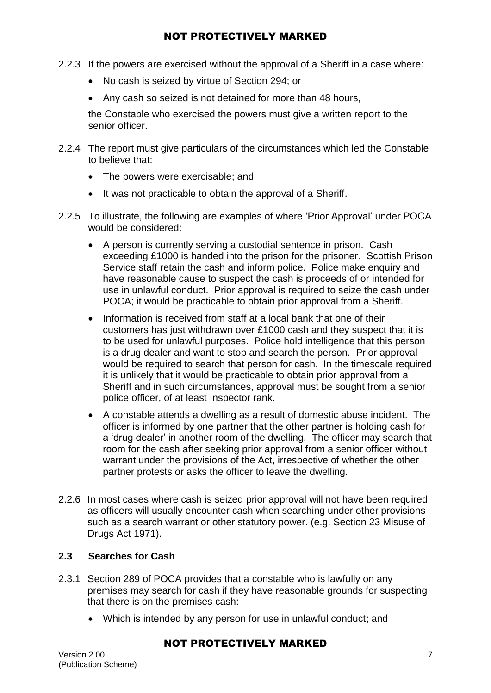- 2.2.3 If the powers are exercised without the approval of a Sheriff in a case where:
	- No cash is seized by virtue of Section 294; or
	- Any cash so seized is not detained for more than 48 hours,

the Constable who exercised the powers must give a written report to the senior officer.

- 2.2.4 The report must give particulars of the circumstances which led the Constable to believe that:
	- The powers were exercisable; and
	- It was not practicable to obtain the approval of a Sheriff.
- 2.2.5 To illustrate, the following are examples of where 'Prior Approval' under POCA would be considered:
	- A person is currently serving a custodial sentence in prison. Cash exceeding £1000 is handed into the prison for the prisoner. Scottish Prison Service staff retain the cash and inform police. Police make enquiry and have reasonable cause to suspect the cash is proceeds of or intended for use in unlawful conduct. Prior approval is required to seize the cash under POCA; it would be practicable to obtain prior approval from a Sheriff.
	- Information is received from staff at a local bank that one of their customers has just withdrawn over £1000 cash and they suspect that it is to be used for unlawful purposes. Police hold intelligence that this person is a drug dealer and want to stop and search the person. Prior approval would be required to search that person for cash. In the timescale required it is unlikely that it would be practicable to obtain prior approval from a Sheriff and in such circumstances, approval must be sought from a senior police officer, of at least Inspector rank.
	- A constable attends a dwelling as a result of domestic abuse incident. The officer is informed by one partner that the other partner is holding cash for a 'drug dealer' in another room of the dwelling. The officer may search that room for the cash after seeking prior approval from a senior officer without warrant under the provisions of the Act, irrespective of whether the other partner protests or asks the officer to leave the dwelling.
- 2.2.6 In most cases where cash is seized prior approval will not have been required as officers will usually encounter cash when searching under other provisions such as a search warrant or other statutory power. (e.g. Section 23 Misuse of Drugs Act 1971).

### **2.3 Searches for Cash**

- 2.3.1 Section 289 of POCA provides that a constable who is lawfully on any premises may search for cash if they have reasonable grounds for suspecting that there is on the premises cash:
	- Which is intended by any person for use in unlawful conduct; and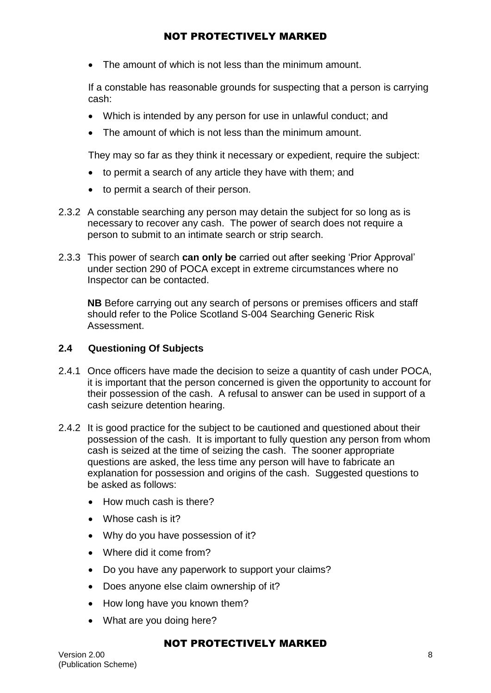• The amount of which is not less than the minimum amount.

If a constable has reasonable grounds for suspecting that a person is carrying cash:

- Which is intended by any person for use in unlawful conduct; and
- The amount of which is not less than the minimum amount.

They may so far as they think it necessary or expedient, require the subject:

- to permit a search of any article they have with them; and
- to permit a search of their person.
- 2.3.2 A constable searching any person may detain the subject for so long as is necessary to recover any cash. The power of search does not require a person to submit to an intimate search or strip search.
- 2.3.3 This power of search **can only be** carried out after seeking 'Prior Approval' under section 290 of POCA except in extreme circumstances where no Inspector can be contacted.

**NB** Before carrying out any search of persons or premises officers and staff should refer to the Police Scotland S-004 Searching Generic Risk Assessment.

#### **2.4 Questioning Of Subjects**

- 2.4.1 Once officers have made the decision to seize a quantity of cash under POCA, it is important that the person concerned is given the opportunity to account for their possession of the cash. A refusal to answer can be used in support of a cash seizure detention hearing.
- 2.4.2 It is good practice for the subject to be cautioned and questioned about their possession of the cash. It is important to fully question any person from whom cash is seized at the time of seizing the cash. The sooner appropriate questions are asked, the less time any person will have to fabricate an explanation for possession and origins of the cash. Suggested questions to be asked as follows:
	- How much cash is there?
	- Whose cash is it?
	- Why do you have possession of it?
	- Where did it come from?
	- Do you have any paperwork to support your claims?
	- Does anyone else claim ownership of it?
	- How long have you known them?
	- What are you doing here?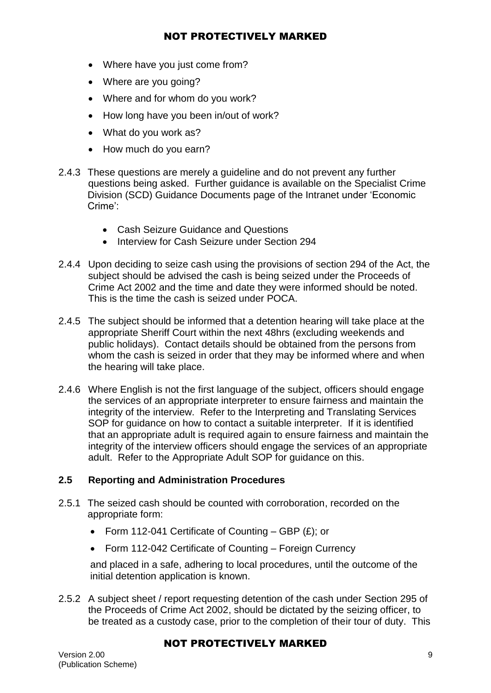- Where have you just come from?
- Where are you going?
- Where and for whom do you work?
- How long have you been in/out of work?
- What do you work as?
- How much do you earn?
- 2.4.3 These questions are merely a guideline and do not prevent any further questions being asked. Further guidance is available on the Specialist Crime Division (SCD) Guidance Documents page of the Intranet under 'Economic Crime':
	- Cash Seizure Guidance and Questions
	- **Interview for Cash Seizure under Section 294**
- 2.4.4 Upon deciding to seize cash using the provisions of section 294 of the Act, the subject should be advised the cash is being seized under the Proceeds of Crime Act 2002 and the time and date they were informed should be noted. This is the time the cash is seized under POCA.
- 2.4.5 The subject should be informed that a detention hearing will take place at the appropriate Sheriff Court within the next 48hrs (excluding weekends and public holidays). Contact details should be obtained from the persons from whom the cash is seized in order that they may be informed where and when the hearing will take place.
- 2.4.6 Where English is not the first language of the subject, officers should engage the services of an appropriate interpreter to ensure fairness and maintain the integrity of the interview. Refer to the Interpreting and Translating Services SOP for guidance on how to contact a suitable interpreter. If it is identified that an appropriate adult is required again to ensure fairness and maintain the integrity of the interview officers should engage the services of an appropriate adult. Refer to the Appropriate Adult SOP for guidance on this.

### **2.5 Reporting and Administration Procedures**

- 2.5.1 The seized cash should be counted with corroboration, recorded on the appropriate form:
	- Form 112-041 Certificate of Counting GBP  $(E)$ ; or
	- Form 112-042 Certificate of Counting Foreign Currency

and placed in a safe, adhering to local procedures, until the outcome of the initial detention application is known.

2.5.2 A subject sheet / report requesting detention of the cash under Section 295 of the Proceeds of Crime Act 2002, should be dictated by the seizing officer, to be treated as a custody case, prior to the completion of their tour of duty. This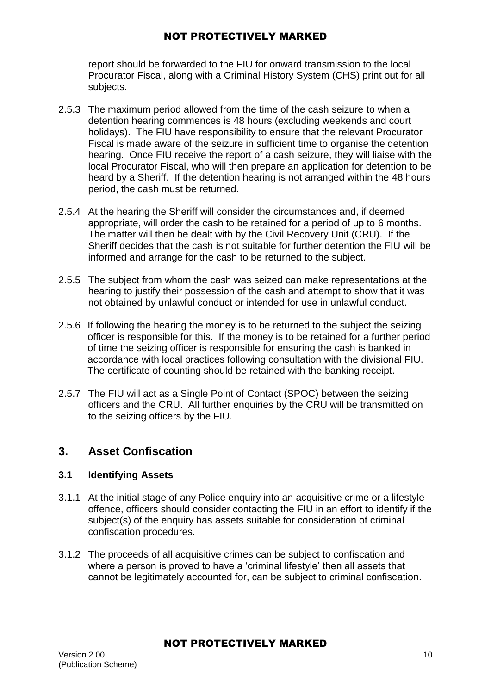report should be forwarded to the FIU for onward transmission to the local Procurator Fiscal, along with a Criminal History System (CHS) print out for all subjects.

- 2.5.3 The maximum period allowed from the time of the cash seizure to when a detention hearing commences is 48 hours (excluding weekends and court holidays). The FIU have responsibility to ensure that the relevant Procurator Fiscal is made aware of the seizure in sufficient time to organise the detention hearing. Once FIU receive the report of a cash seizure, they will liaise with the local Procurator Fiscal, who will then prepare an application for detention to be heard by a Sheriff. If the detention hearing is not arranged within the 48 hours period, the cash must be returned.
- 2.5.4 At the hearing the Sheriff will consider the circumstances and, if deemed appropriate, will order the cash to be retained for a period of up to 6 months. The matter will then be dealt with by the Civil Recovery Unit (CRU). If the Sheriff decides that the cash is not suitable for further detention the FIU will be informed and arrange for the cash to be returned to the subject.
- 2.5.5 The subject from whom the cash was seized can make representations at the hearing to justify their possession of the cash and attempt to show that it was not obtained by unlawful conduct or intended for use in unlawful conduct.
- 2.5.6 If following the hearing the money is to be returned to the subject the seizing officer is responsible for this. If the money is to be retained for a further period of time the seizing officer is responsible for ensuring the cash is banked in accordance with local practices following consultation with the divisional FIU. The certificate of counting should be retained with the banking receipt.
- 2.5.7 The FIU will act as a Single Point of Contact (SPOC) between the seizing officers and the CRU. All further enquiries by the CRU will be transmitted on to the seizing officers by the FIU.

## **3. Asset Confiscation**

### **3.1 Identifying Assets**

- 3.1.1 At the initial stage of any Police enquiry into an acquisitive crime or a lifestyle offence, officers should consider contacting the FIU in an effort to identify if the subject(s) of the enquiry has assets suitable for consideration of criminal confiscation procedures.
- 3.1.2 The proceeds of all acquisitive crimes can be subject to confiscation and where a person is proved to have a 'criminal lifestyle' then all assets that cannot be legitimately accounted for, can be subject to criminal confiscation.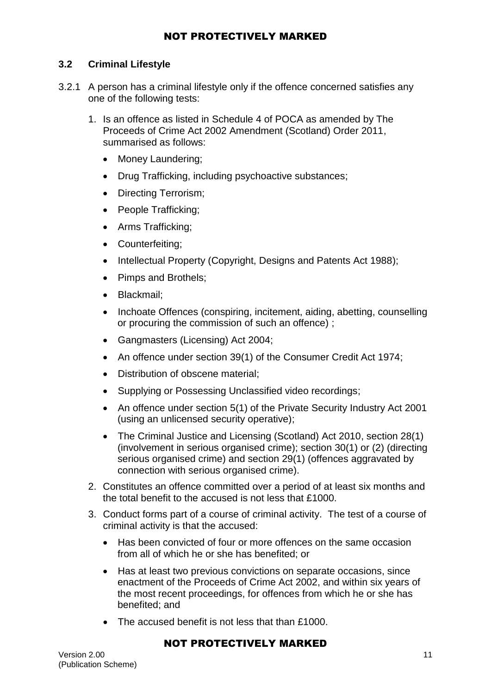#### **3.2 Criminal Lifestyle**

- 3.2.1 A person has a criminal lifestyle only if the offence concerned satisfies any one of the following tests:
	- 1. Is an offence as listed in Schedule 4 of POCA as amended by The Proceeds of Crime Act 2002 Amendment (Scotland) Order 2011, summarised as follows:
		- Money Laundering:
		- Drug Trafficking, including psychoactive substances;
		- Directing Terrorism;
		- People Trafficking;
		- Arms Trafficking:
		- Counterfeiting;
		- Intellectual Property (Copyright, Designs and Patents Act 1988);
		- Pimps and Brothels;
		- Blackmail:
		- Inchoate Offences (conspiring, incitement, aiding, abetting, counselling or procuring the commission of such an offence) ;
		- Gangmasters (Licensing) Act 2004;
		- An offence under section 39(1) of the Consumer Credit Act 1974;
		- Distribution of obscene material:
		- Supplying or Possessing Unclassified video recordings;
		- An offence under section 5(1) of the Private Security Industry Act 2001 (using an unlicensed security operative);
		- The Criminal Justice and Licensing (Scotland) Act 2010, section 28(1) (involvement in serious organised crime); section 30(1) or (2) (directing serious organised crime) and section 29(1) (offences aggravated by connection with serious organised crime).
	- 2. Constitutes an offence committed over a period of at least six months and the total benefit to the accused is not less that £1000.
	- 3. Conduct forms part of a course of criminal activity. The test of a course of criminal activity is that the accused:
		- Has been convicted of four or more offences on the same occasion from all of which he or she has benefited; or
		- Has at least two previous convictions on separate occasions, since enactment of the Proceeds of Crime Act 2002, and within six years of the most recent proceedings, for offences from which he or she has benefited; and
		- The accused benefit is not less that than £1000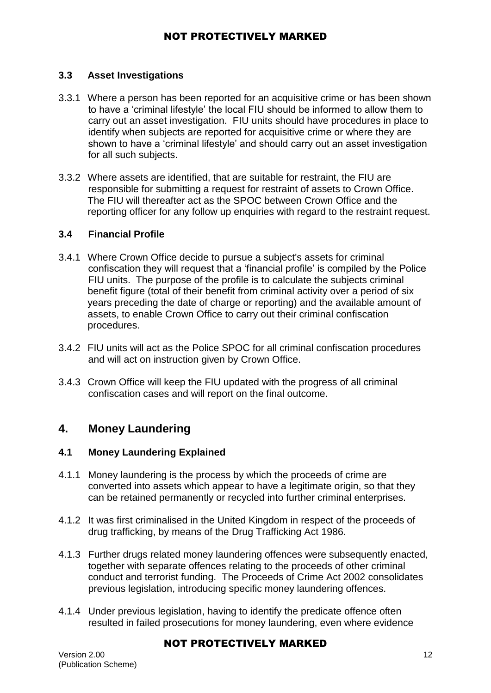### **3.3 Asset Investigations**

- 3.3.1 Where a person has been reported for an acquisitive crime or has been shown to have a 'criminal lifestyle' the local FIU should be informed to allow them to carry out an asset investigation. FIU units should have procedures in place to identify when subjects are reported for acquisitive crime or where they are shown to have a 'criminal lifestyle' and should carry out an asset investigation for all such subjects.
- 3.3.2 Where assets are identified, that are suitable for restraint, the FIU are responsible for submitting a request for restraint of assets to Crown Office. The FIU will thereafter act as the SPOC between Crown Office and the reporting officer for any follow up enquiries with regard to the restraint request.

#### **3.4 Financial Profile**

- 3.4.1 Where Crown Office decide to pursue a subject's assets for criminal confiscation they will request that a 'financial profile' is compiled by the Police FIU units. The purpose of the profile is to calculate the subjects criminal benefit figure (total of their benefit from criminal activity over a period of six years preceding the date of charge or reporting) and the available amount of assets, to enable Crown Office to carry out their criminal confiscation procedures.
- 3.4.2 FIU units will act as the Police SPOC for all criminal confiscation procedures and will act on instruction given by Crown Office.
- 3.4.3 Crown Office will keep the FIU updated with the progress of all criminal confiscation cases and will report on the final outcome.

## **4. Money Laundering**

### **4.1 Money Laundering Explained**

- 4.1.1 Money laundering is the process by which the proceeds of crime are converted into assets which appear to have a legitimate origin, so that they can be retained permanently or recycled into further criminal enterprises.
- 4.1.2 It was first criminalised in the United Kingdom in respect of the proceeds of drug trafficking, by means of the Drug Trafficking Act 1986.
- 4.1.3 Further drugs related money laundering offences were subsequently enacted, together with separate offences relating to the proceeds of other criminal conduct and terrorist funding. The Proceeds of Crime Act 2002 consolidates previous legislation, introducing specific money laundering offences.
- 4.1.4 Under previous legislation, having to identify the predicate offence often resulted in failed prosecutions for money laundering, even where evidence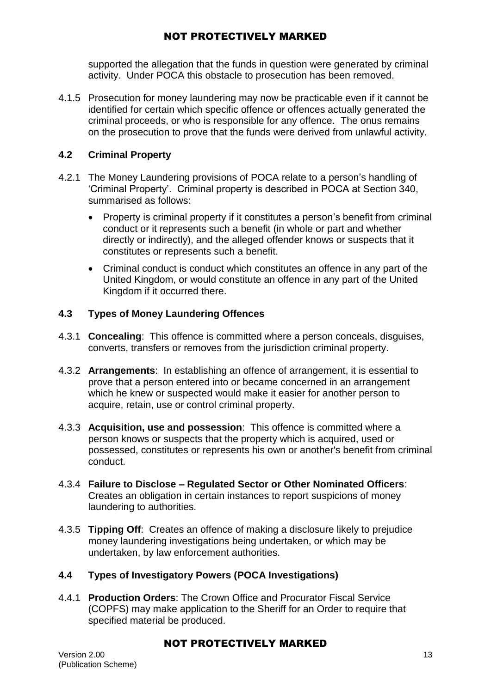supported the allegation that the funds in question were generated by criminal activity. Under POCA this obstacle to prosecution has been removed.

4.1.5 Prosecution for money laundering may now be practicable even if it cannot be identified for certain which specific offence or offences actually generated the criminal proceeds, or who is responsible for any offence. The onus remains on the prosecution to prove that the funds were derived from unlawful activity.

## **4.2 Criminal Property**

- 4.2.1 The Money Laundering provisions of POCA relate to a person's handling of 'Criminal Property'. Criminal property is described in POCA at Section 340, summarised as follows:
	- Property is criminal property if it constitutes a person's benefit from criminal conduct or it represents such a benefit (in whole or part and whether directly or indirectly), and the alleged offender knows or suspects that it constitutes or represents such a benefit.
	- Criminal conduct is conduct which constitutes an offence in any part of the United Kingdom, or would constitute an offence in any part of the United Kingdom if it occurred there.

## **4.3 Types of Money Laundering Offences**

- 4.3.1 **Concealing**: This offence is committed where a person conceals, disguises, converts, transfers or removes from the jurisdiction criminal property.
- 4.3.2 **Arrangements**: In establishing an offence of arrangement, it is essential to prove that a person entered into or became concerned in an arrangement which he knew or suspected would make it easier for another person to acquire, retain, use or control criminal property.
- 4.3.3 **Acquisition, use and possession**: This offence is committed where a person knows or suspects that the property which is acquired, used or possessed, constitutes or represents his own or another's benefit from criminal conduct.
- 4.3.4 **Failure to Disclose – Regulated Sector or Other Nominated Officers**: Creates an obligation in certain instances to report suspicions of money laundering to authorities.
- 4.3.5 **Tipping Off**: Creates an offence of making a disclosure likely to prejudice money laundering investigations being undertaken, or which may be undertaken, by law enforcement authorities.

### **4.4 Types of Investigatory Powers (POCA Investigations)**

4.4.1 **Production Orders**: The Crown Office and Procurator Fiscal Service (COPFS) may make application to the Sheriff for an Order to require that specified material be produced.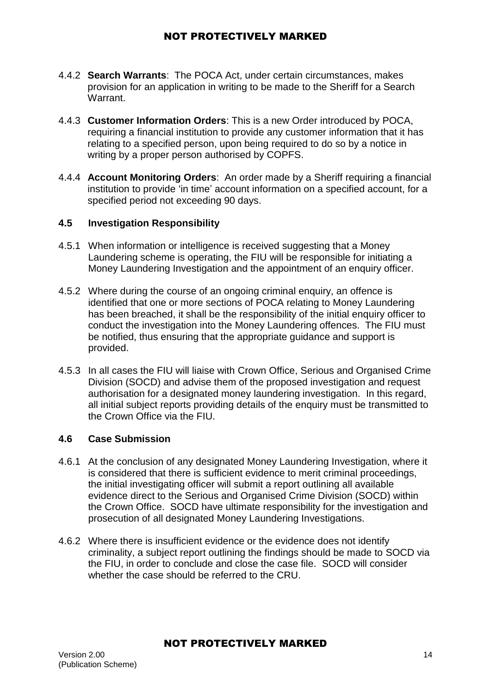- 4.4.2 **Search Warrants**: The POCA Act, under certain circumstances, makes provision for an application in writing to be made to the Sheriff for a Search Warrant.
- 4.4.3 **Customer Information Orders**: This is a new Order introduced by POCA, requiring a financial institution to provide any customer information that it has relating to a specified person, upon being required to do so by a notice in writing by a proper person authorised by COPFS.
- 4.4.4 **Account Monitoring Orders**: An order made by a Sheriff requiring a financial institution to provide 'in time' account information on a specified account, for a specified period not exceeding 90 days.

#### **4.5 Investigation Responsibility**

- 4.5.1 When information or intelligence is received suggesting that a Money Laundering scheme is operating, the FIU will be responsible for initiating a Money Laundering Investigation and the appointment of an enquiry officer.
- 4.5.2 Where during the course of an ongoing criminal enquiry, an offence is identified that one or more sections of POCA relating to Money Laundering has been breached, it shall be the responsibility of the initial enquiry officer to conduct the investigation into the Money Laundering offences. The FIU must be notified, thus ensuring that the appropriate guidance and support is provided.
- 4.5.3 In all cases the FIU will liaise with Crown Office, Serious and Organised Crime Division (SOCD) and advise them of the proposed investigation and request authorisation for a designated money laundering investigation. In this regard, all initial subject reports providing details of the enquiry must be transmitted to the Crown Office via the FIU.

#### **4.6 Case Submission**

- 4.6.1 At the conclusion of any designated Money Laundering Investigation, where it is considered that there is sufficient evidence to merit criminal proceedings, the initial investigating officer will submit a report outlining all available evidence direct to the Serious and Organised Crime Division (SOCD) within the Crown Office. SOCD have ultimate responsibility for the investigation and prosecution of all designated Money Laundering Investigations.
- 4.6.2 Where there is insufficient evidence or the evidence does not identify criminality, a subject report outlining the findings should be made to SOCD via the FIU, in order to conclude and close the case file. SOCD will consider whether the case should be referred to the CRU.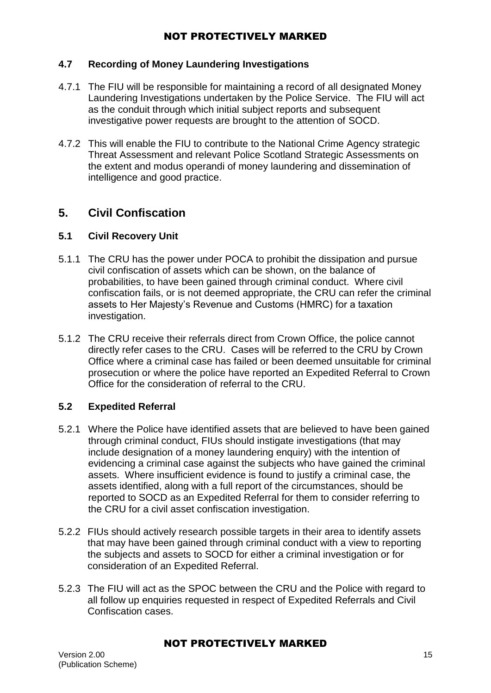#### **4.7 Recording of Money Laundering Investigations**

- 4.7.1 The FIU will be responsible for maintaining a record of all designated Money Laundering Investigations undertaken by the Police Service. The FIU will act as the conduit through which initial subject reports and subsequent investigative power requests are brought to the attention of SOCD.
- 4.7.2 This will enable the FIU to contribute to the National Crime Agency strategic Threat Assessment and relevant Police Scotland Strategic Assessments on the extent and modus operandi of money laundering and dissemination of intelligence and good practice.

## **5. Civil Confiscation**

#### **5.1 Civil Recovery Unit**

- 5.1.1 The CRU has the power under POCA to prohibit the dissipation and pursue civil confiscation of assets which can be shown, on the balance of probabilities, to have been gained through criminal conduct. Where civil confiscation fails, or is not deemed appropriate, the CRU can refer the criminal assets to Her Majesty's Revenue and Customs (HMRC) for a taxation investigation.
- 5.1.2 The CRU receive their referrals direct from Crown Office, the police cannot directly refer cases to the CRU. Cases will be referred to the CRU by Crown Office where a criminal case has failed or been deemed unsuitable for criminal prosecution or where the police have reported an Expedited Referral to Crown Office for the consideration of referral to the CRU.

### **5.2 Expedited Referral**

- 5.2.1 Where the Police have identified assets that are believed to have been gained through criminal conduct, FIUs should instigate investigations (that may include designation of a money laundering enquiry) with the intention of evidencing a criminal case against the subjects who have gained the criminal assets. Where insufficient evidence is found to justify a criminal case, the assets identified, along with a full report of the circumstances, should be reported to SOCD as an Expedited Referral for them to consider referring to the CRU for a civil asset confiscation investigation.
- 5.2.2 FIUs should actively research possible targets in their area to identify assets that may have been gained through criminal conduct with a view to reporting the subjects and assets to SOCD for either a criminal investigation or for consideration of an Expedited Referral.
- 5.2.3 The FIU will act as the SPOC between the CRU and the Police with regard to all follow up enquiries requested in respect of Expedited Referrals and Civil Confiscation cases.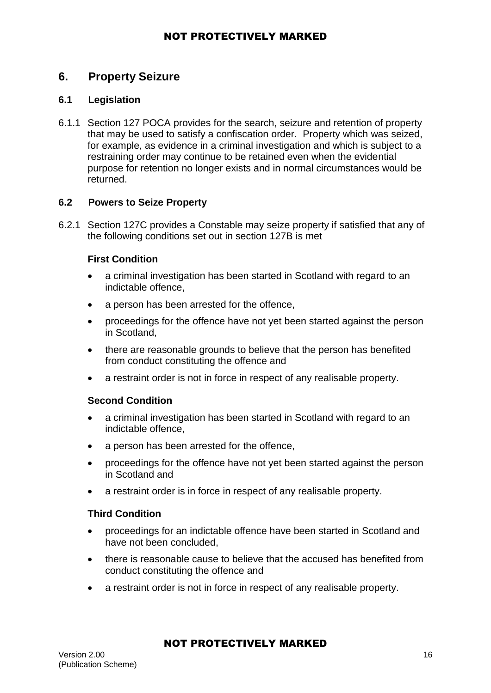## **6. Property Seizure**

### **6.1 Legislation**

6.1.1 Section 127 POCA provides for the search, seizure and retention of property that may be used to satisfy a confiscation order. Property which was seized, for example, as evidence in a criminal investigation and which is subject to a restraining order may continue to be retained even when the evidential purpose for retention no longer exists and in normal circumstances would be returned.

#### **6.2 Powers to Seize Property**

6.2.1 Section 127C provides a Constable may seize property if satisfied that any of the following conditions set out in section 127B is met

#### **First Condition**

- a criminal investigation has been started in Scotland with regard to an indictable offence,
- a person has been arrested for the offence.
- proceedings for the offence have not yet been started against the person in Scotland,
- there are reasonable grounds to believe that the person has benefited from conduct constituting the offence and
- a restraint order is not in force in respect of any realisable property.

#### **Second Condition**

- a criminal investigation has been started in Scotland with regard to an indictable offence,
- a person has been arrested for the offence,
- proceedings for the offence have not yet been started against the person in Scotland and
- a restraint order is in force in respect of any realisable property.

#### **Third Condition**

- proceedings for an indictable offence have been started in Scotland and have not been concluded,
- there is reasonable cause to believe that the accused has benefited from conduct constituting the offence and
- a restraint order is not in force in respect of any realisable property.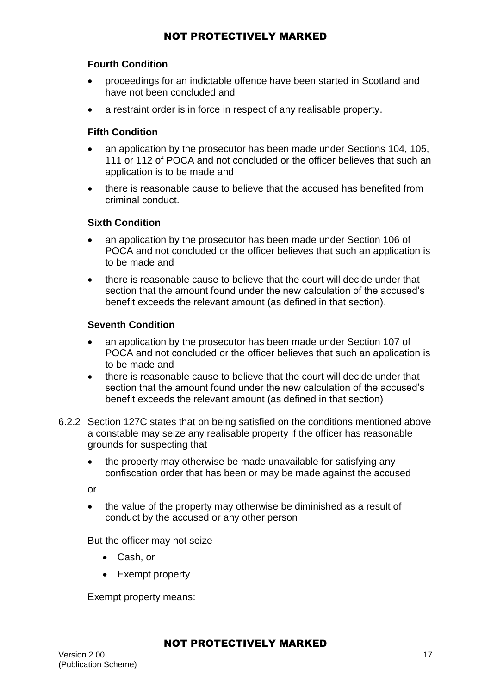#### **Fourth Condition**

- proceedings for an indictable offence have been started in Scotland and have not been concluded and
- a restraint order is in force in respect of any realisable property.

#### **Fifth Condition**

- an application by the prosecutor has been made under Sections 104, 105, 111 or 112 of POCA and not concluded or the officer believes that such an application is to be made and
- there is reasonable cause to believe that the accused has benefited from criminal conduct.

#### **Sixth Condition**

- an application by the prosecutor has been made under Section 106 of POCA and not concluded or the officer believes that such an application is to be made and
- there is reasonable cause to believe that the court will decide under that section that the amount found under the new calculation of the accused's benefit exceeds the relevant amount (as defined in that section).

#### **Seventh Condition**

- an application by the prosecutor has been made under Section 107 of POCA and not concluded or the officer believes that such an application is to be made and
- there is reasonable cause to believe that the court will decide under that section that the amount found under the new calculation of the accused's benefit exceeds the relevant amount (as defined in that section)
- 6.2.2 Section 127C states that on being satisfied on the conditions mentioned above a constable may seize any realisable property if the officer has reasonable grounds for suspecting that
	- the property may otherwise be made unavailable for satisfying any confiscation order that has been or may be made against the accused

or

• the value of the property may otherwise be diminished as a result of conduct by the accused or any other person

But the officer may not seize

- Cash, or
- Exempt property

Exempt property means: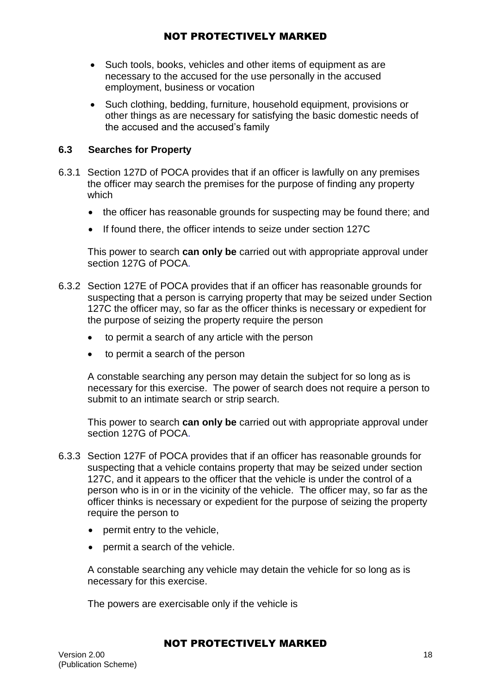- Such tools, books, vehicles and other items of equipment as are necessary to the accused for the use personally in the accused employment, business or vocation
- Such clothing, bedding, furniture, household equipment, provisions or other things as are necessary for satisfying the basic domestic needs of the accused and the accused's family

#### **6.3 Searches for Property**

- 6.3.1 Section 127D of POCA provides that if an officer is lawfully on any premises the officer may search the premises for the purpose of finding any property which
	- the officer has reasonable grounds for suspecting may be found there; and
	- If found there, the officer intends to seize under section 127C

This power to search **can only be** carried out with appropriate approval under section 127G of POCA.

- 6.3.2 Section 127E of POCA provides that if an officer has reasonable grounds for suspecting that a person is carrying property that may be seized under Section 127C the officer may, so far as the officer thinks is necessary or expedient for the purpose of seizing the property require the person
	- to permit a search of any article with the person
	- to permit a search of the person

A constable searching any person may detain the subject for so long as is necessary for this exercise. The power of search does not require a person to submit to an intimate search or strip search.

This power to search **can only be** carried out with appropriate approval under section 127G of POCA.

- 6.3.3 Section 127F of POCA provides that if an officer has reasonable grounds for suspecting that a vehicle contains property that may be seized under section 127C, and it appears to the officer that the vehicle is under the control of a person who is in or in the vicinity of the vehicle. The officer may, so far as the officer thinks is necessary or expedient for the purpose of seizing the property require the person to
	- permit entry to the vehicle.
	- permit a search of the vehicle.

A constable searching any vehicle may detain the vehicle for so long as is necessary for this exercise.

The powers are exercisable only if the vehicle is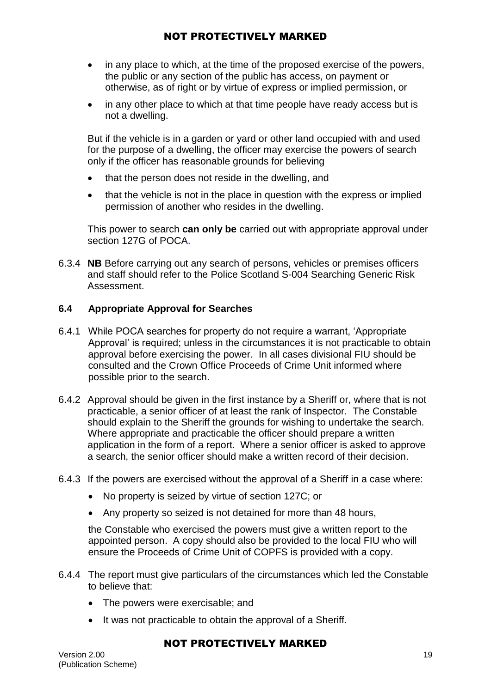- in any place to which, at the time of the proposed exercise of the powers, the public or any section of the public has access, on payment or otherwise, as of right or by virtue of express or implied permission, or
- in any other place to which at that time people have ready access but is not a dwelling.

But if the vehicle is in a garden or yard or other land occupied with and used for the purpose of a dwelling, the officer may exercise the powers of search only if the officer has reasonable grounds for believing

- that the person does not reside in the dwelling, and
- that the vehicle is not in the place in question with the express or implied permission of another who resides in the dwelling.

This power to search **can only be** carried out with appropriate approval under section 127G of POCA.

6.3.4 **NB** Before carrying out any search of persons, vehicles or premises officers and staff should refer to the Police Scotland S-004 Searching Generic Risk Assessment.

### **6.4 Appropriate Approval for Searches**

- 6.4.1 While POCA searches for property do not require a warrant, 'Appropriate Approval' is required; unless in the circumstances it is not practicable to obtain approval before exercising the power. In all cases divisional FIU should be consulted and the Crown Office Proceeds of Crime Unit informed where possible prior to the search.
- 6.4.2 Approval should be given in the first instance by a Sheriff or, where that is not practicable, a senior officer of at least the rank of Inspector. The Constable should explain to the Sheriff the grounds for wishing to undertake the search. Where appropriate and practicable the officer should prepare a written application in the form of a report. Where a senior officer is asked to approve a search, the senior officer should make a written record of their decision.
- 6.4.3 If the powers are exercised without the approval of a Sheriff in a case where:
	- No property is seized by virtue of section 127C; or
	- Any property so seized is not detained for more than 48 hours,

the Constable who exercised the powers must give a written report to the appointed person. A copy should also be provided to the local FIU who will ensure the Proceeds of Crime Unit of COPFS is provided with a copy.

- 6.4.4 The report must give particulars of the circumstances which led the Constable to believe that:
	- The powers were exercisable; and
	- It was not practicable to obtain the approval of a Sheriff.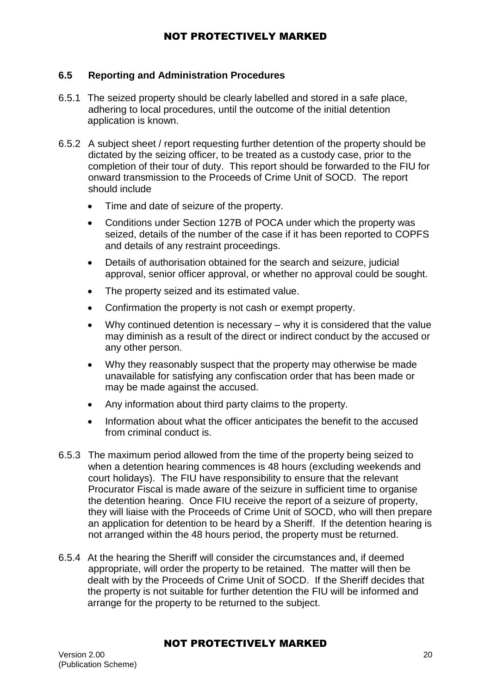#### **6.5 Reporting and Administration Procedures**

- 6.5.1 The seized property should be clearly labelled and stored in a safe place, adhering to local procedures, until the outcome of the initial detention application is known.
- 6.5.2 A subject sheet / report requesting further detention of the property should be dictated by the seizing officer, to be treated as a custody case, prior to the completion of their tour of duty. This report should be forwarded to the FIU for onward transmission to the Proceeds of Crime Unit of SOCD. The report should include
	- Time and date of seizure of the property.
	- Conditions under Section 127B of POCA under which the property was seized, details of the number of the case if it has been reported to COPFS and details of any restraint proceedings.
	- Details of authorisation obtained for the search and seizure, judicial approval, senior officer approval, or whether no approval could be sought.
	- The property seized and its estimated value.
	- Confirmation the property is not cash or exempt property.
	- Why continued detention is necessary why it is considered that the value may diminish as a result of the direct or indirect conduct by the accused or any other person.
	- Why they reasonably suspect that the property may otherwise be made unavailable for satisfying any confiscation order that has been made or may be made against the accused.
	- Any information about third party claims to the property.
	- Information about what the officer anticipates the benefit to the accused from criminal conduct is.
- 6.5.3 The maximum period allowed from the time of the property being seized to when a detention hearing commences is 48 hours (excluding weekends and court holidays). The FIU have responsibility to ensure that the relevant Procurator Fiscal is made aware of the seizure in sufficient time to organise the detention hearing. Once FIU receive the report of a seizure of property, they will liaise with the Proceeds of Crime Unit of SOCD, who will then prepare an application for detention to be heard by a Sheriff. If the detention hearing is not arranged within the 48 hours period, the property must be returned.
- 6.5.4 At the hearing the Sheriff will consider the circumstances and, if deemed appropriate, will order the property to be retained. The matter will then be dealt with by the Proceeds of Crime Unit of SOCD. If the Sheriff decides that the property is not suitable for further detention the FIU will be informed and arrange for the property to be returned to the subject.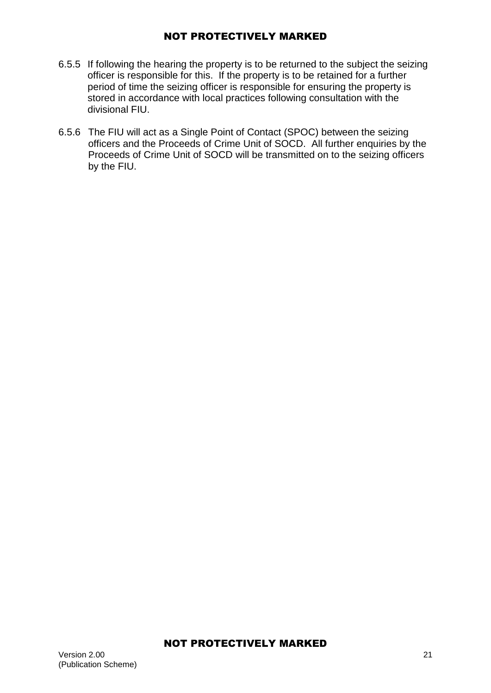- 6.5.5 If following the hearing the property is to be returned to the subject the seizing officer is responsible for this. If the property is to be retained for a further period of time the seizing officer is responsible for ensuring the property is stored in accordance with local practices following consultation with the divisional FIU.
- 6.5.6 The FIU will act as a Single Point of Contact (SPOC) between the seizing officers and the Proceeds of Crime Unit of SOCD. All further enquiries by the Proceeds of Crime Unit of SOCD will be transmitted on to the seizing officers by the FIU.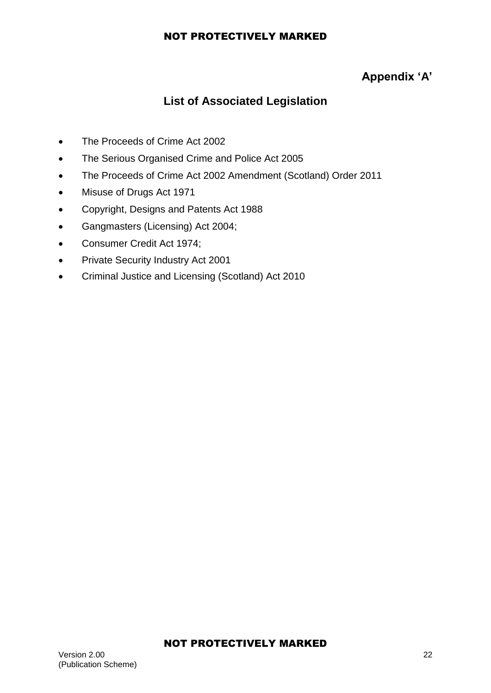## **Appendix 'A'**

## **List of Associated Legislation**

- The Proceeds of Crime Act 2002
- The Serious Organised Crime and Police Act 2005
- The Proceeds of Crime Act 2002 Amendment (Scotland) Order 2011
- Misuse of Drugs Act 1971
- Copyright, Designs and Patents Act 1988
- Gangmasters (Licensing) Act 2004;
- Consumer Credit Act 1974;
- **•** Private Security Industry Act 2001
- Criminal Justice and Licensing (Scotland) Act 2010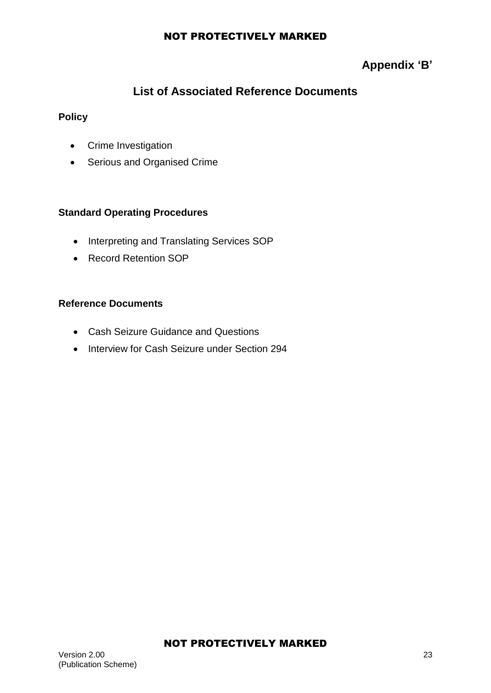## **Appendix 'B'**

## **List of Associated Reference Documents**

## **Policy**

- Crime Investigation
- Serious and Organised Crime

## **Standard Operating Procedures**

- Interpreting and Translating Services SOP
- Record Retention SOP

### **Reference Documents**

- Cash Seizure Guidance and Questions
- Interview for Cash Seizure under Section 294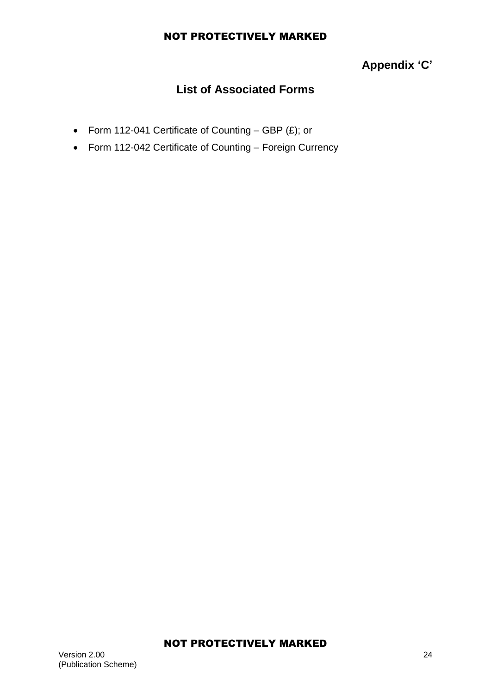# **Appendix 'C'**

## **List of Associated Forms**

- Form 112-041 Certificate of Counting GBP  $(E)$ ; or
- Form 112-042 Certificate of Counting Foreign Currency